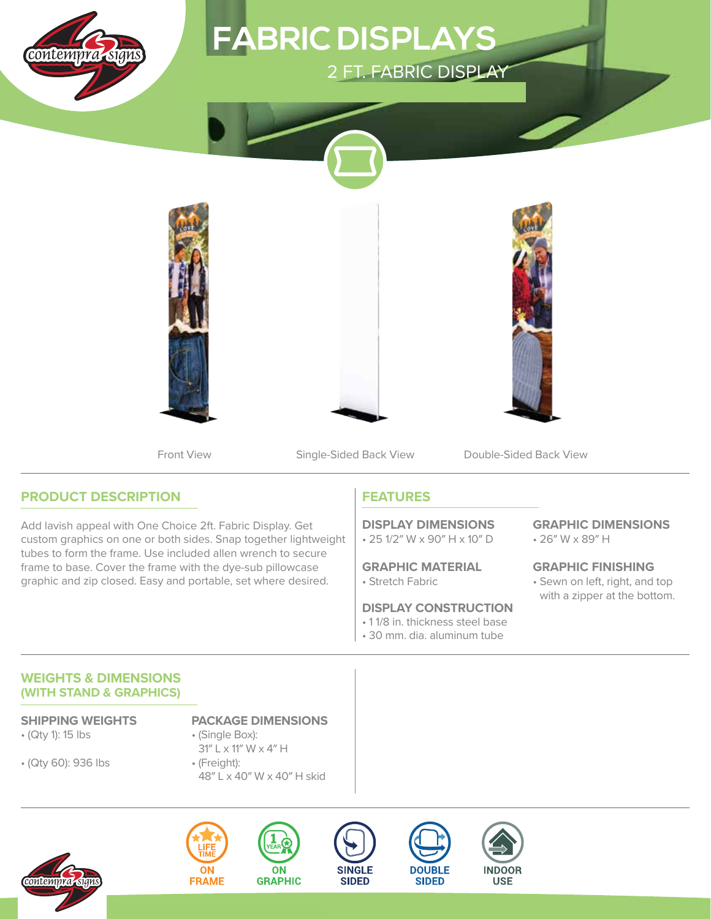

# 2 FT. FABRIC DISPLAY **FABRIC DISPLAYS**



Front View Single-Sided Back View Double-Sided Back View

## **PRODUCT DESCRIPTION**

Add lavish appeal with One Choice 2ft. Fabric Display. Get custom graphics on one or both sides. Snap together lightweight tubes to form the frame. Use included allen wrench to secure frame to base. Cover the frame with the dye-sub pillowcase graphic and zip closed. Easy and portable, set where desired.

## **FEATURES**

• 25 1/2″ W x 90″ H x 10″ D **DISPLAY DIMENSIONS**

• Stretch Fabric **GRAPHIC MATERIAL**

### **DISPLAY CONSTRUCTION**

- 1 1/8 in. thickness steel base
- 30 mm. dia. aluminum tube

**DOUBLE** 

**SIDED** 

• 26″ W x 89″ H **GRAPHIC DIMENSIONS**

• Sewn on left, right, and top with a zipper at the bottom. **GRAPHIC FINISHING**

### **WEIGHTS & DIMENSIONS (WITH STAND & GRAPHICS)**

- (Qty 1): 15 lbs
- (Qty 60): 936 lbs
- **SHIPPING WEIGHTS PACKAGE DIMENSIONS**
	- (Single Box): 31″ L x 11″ W x 4″ H
	- (Freight): 48″ L x 40″ W x 40″ H skid









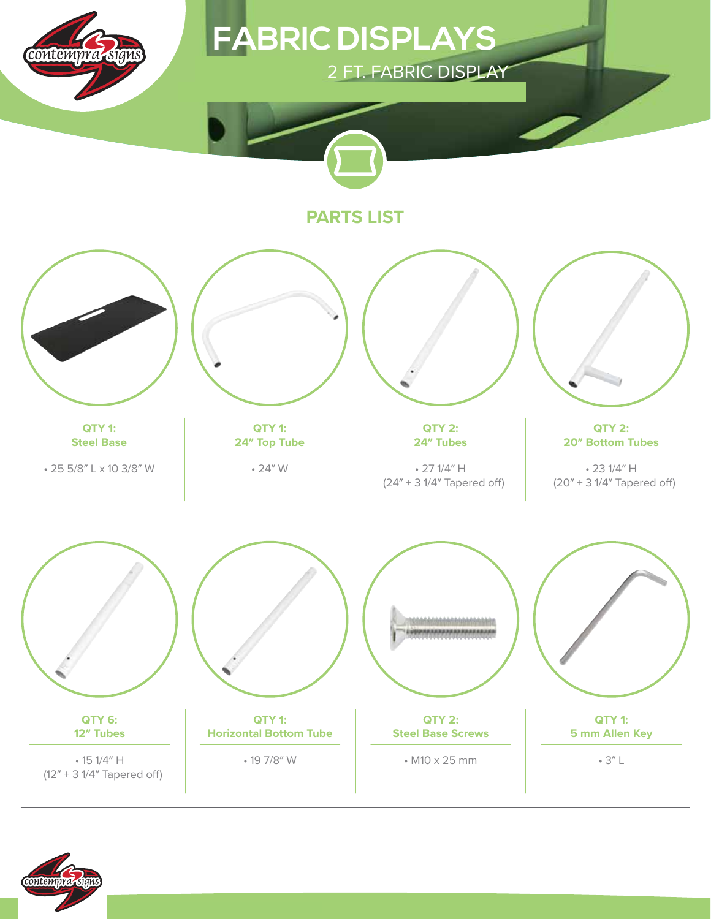